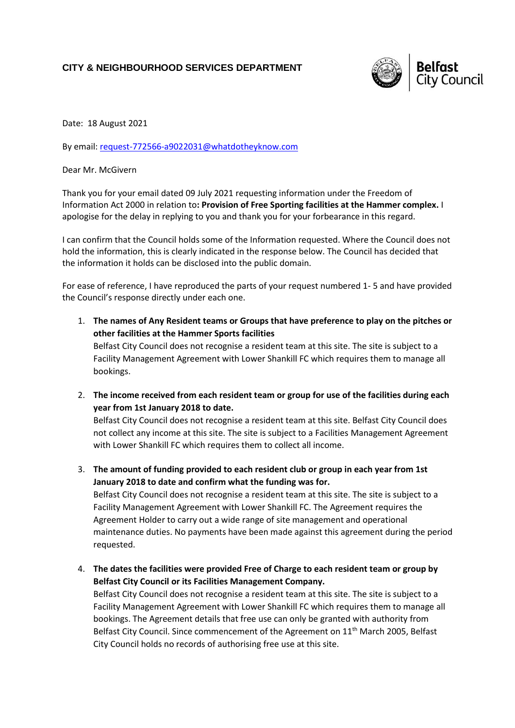## **CITY & NEIGHBOURHOOD SERVICES DEPARTMENT**



Date: 18 August 2021

By email: [request-772566-a9022031@whatdotheyknow.com](mailto:xxxxxxxxxxxxxxxxxxxxxxx@xxxxxxxxxxxxxx.xxx)

Dear Mr. McGivern

Thank you for your email dated 09 July 2021 requesting information under the Freedom of Information Act 2000 in relation to**: Provision of Free Sporting facilities at the Hammer complex.** I apologise for the delay in replying to you and thank you for your forbearance in this regard.

I can confirm that the Council holds some of the Information requested. Where the Council does not hold the information, this is clearly indicated in the response below. The Council has decided that the information it holds can be disclosed into the public domain.

For ease of reference, I have reproduced the parts of your request numbered 1- 5 and have provided the Council's response directly under each one.

- 1. **The names of Any Resident teams or Groups that have preference to play on the pitches or other facilities at the Hammer Sports facilities** Belfast City Council does not recognise a resident team at this site. The site is subject to a Facility Management Agreement with Lower Shankill FC which requires them to manage all bookings.
- 2. **The income received from each resident team or group for use of the facilities during each year from 1st January 2018 to date.**

Belfast City Council does not recognise a resident team at this site. Belfast City Council does not collect any income at this site. The site is subject to a Facilities Management Agreement with Lower Shankill FC which requires them to collect all income.

3. **The amount of funding provided to each resident club or group in each year from 1st January 2018 to date and confirm what the funding was for.** Belfast City Council does not recognise a resident team at this site. The site is subject to a Facility Management Agreement with Lower Shankill FC. The Agreement requires the Agreement Holder to carry out a wide range of site management and operational maintenance duties. No payments have been made against this agreement during the period requested.

4. **The dates the facilities were provided Free of Charge to each resident team or group by Belfast City Council or its Facilities Management Company.**

Belfast City Council does not recognise a resident team at this site. The site is subject to a Facility Management Agreement with Lower Shankill FC which requires them to manage all bookings. The Agreement details that free use can only be granted with authority from Belfast City Council. Since commencement of the Agreement on 11<sup>th</sup> March 2005, Belfast City Council holds no records of authorising free use at this site.